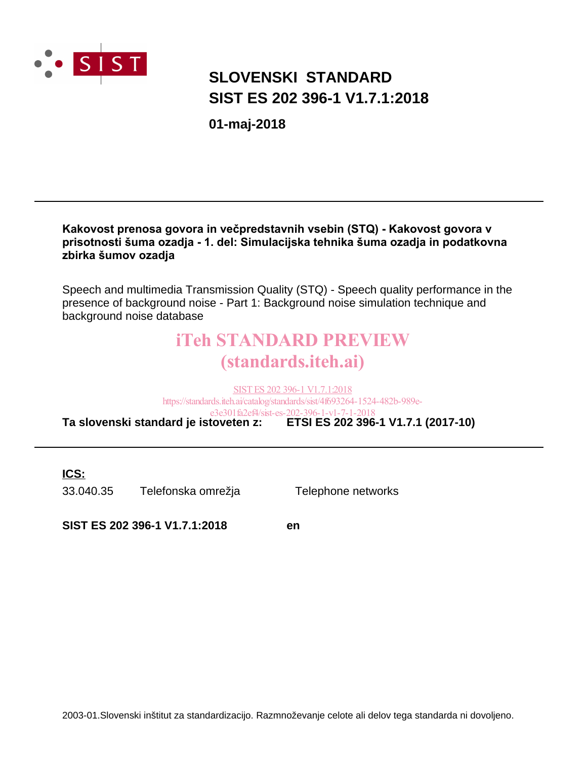

# **SIST ES 202 396-1 V1.7.1:2018 SLOVENSKI STANDARD**

**01-maj-2018**

#### Kakovost prenosa govora in večpredstavnih vsebin (STQ) - Kakovost govora v prisotnosti šuma ozadja - 1. del: Simulacijska tehnika šuma ozadja in podatkovna zbirka šumov ozadja

Speech and multimedia Transmission Quality (STQ) - Speech quality performance in the presence of background noise - Part 1: Background noise simulation technique and background noise database

# iTeh STANDARD PREVIEW (standards.iteh.ai)

**Ta slovenski standard je istoveten z: ETSI ES 202 396-1 V1.7.1 (2017-10)** SIST ES 202 396-1 V1.7.1:2018 https://standards.iteh.ai/catalog/standards/sist/4f693264-1524-482b-989ee3e301fa2ef4/sist-es-202-396-1-v1-7-1-2018

**ICS:**

33.040.35 Telefonska omrežja Telephone networks

**SIST ES 202 396-1 V1.7.1:2018 en**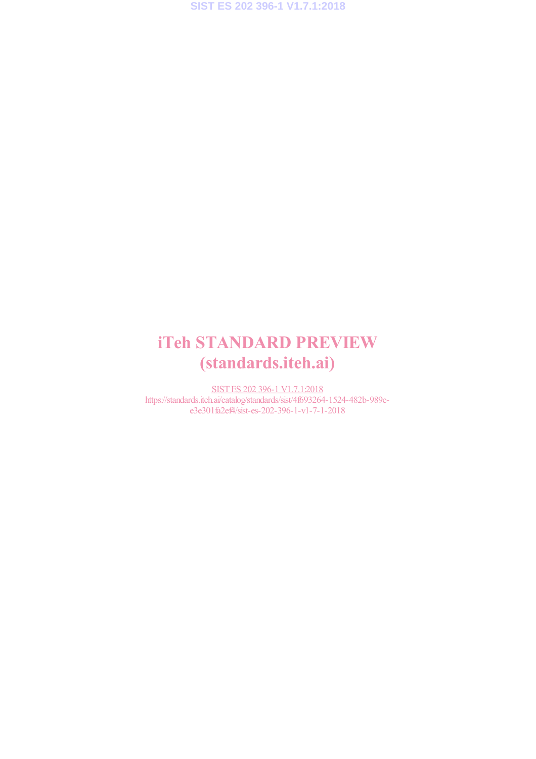# iTeh STANDARD PREVIEW (standards.iteh.ai)

SIST ES 202 396-1 V1.7.1:2018 https://standards.iteh.ai/catalog/standards/sist/4f693264-1524-482b-989ee3e301fa2ef4/sist-es-202-396-1-v1-7-1-2018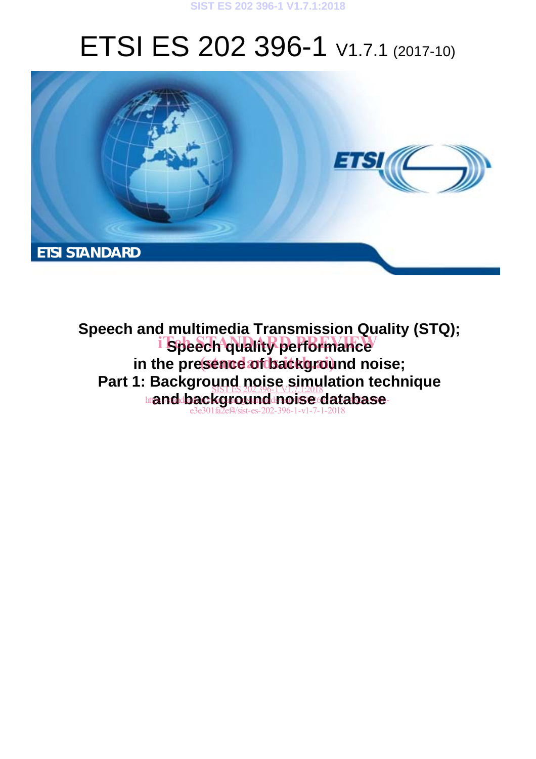#### **SIST ES 202 396-1 V1.7.1:2018**

# ETSI ES 202 396-1 V1.7.1 (2017-10)



**Speech and multimedia Transmission Quality (STQ);**  i Speech quality performance in the presence of background noise; Part 1: Background noise simulation technique **htanddbackground noise database** e3e301fa2ef4/sist-es-202-396-1-v1-7-1-2018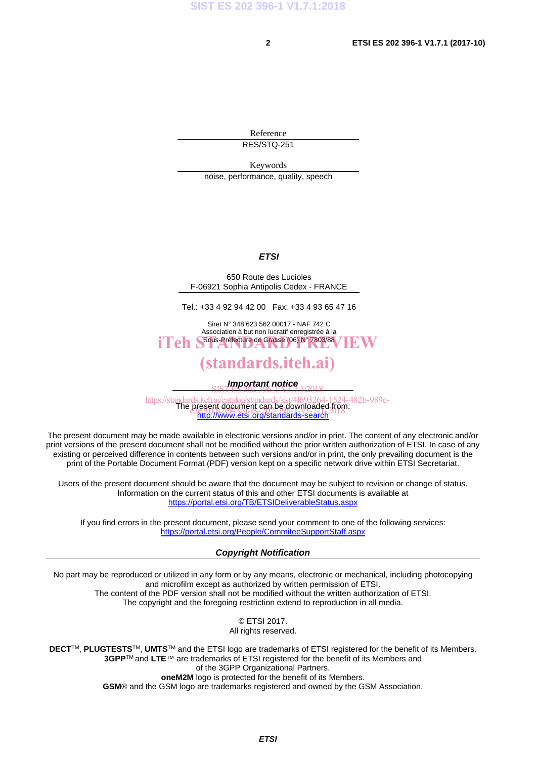Reference RES/STQ-251

Keywords

noise, performance, quality, speech

#### *ETSI*

650 Route des Lucioles F-06921 Sophia Antipolis Cedex - FRANCE

Tel.: +33 4 92 94 42 00 Fax: +33 4 93 65 47 16

Siret N° 348 623 562 00017 - NAF 742 C Association à but non lucratif enregistrée à la iTeh S<sup>ous-Préfecture</sup> de Grasse (06) N° 7803/88 / IEW

### (standards.iteh.ai)

*Important notice*  SIST ES 202 396-1 V1.7.1:2018

https://standards.iteh.ai/catalog/standards/sist/4f693264-1524-482b-989e-<br>The present document can be downloaded from: http://www.etsi.org/standards-search present document can be downloaded trop<br>ese: 0.18768/sist-es-202-306-4-v-20-4-2018

The present document may be made available in electronic versions and/or in print. The content of any electronic and/or print versions of the present document shall not be modified without the prior written authorization of ETSI. In case of any existing or perceived difference in contents between such versions and/or in print, the only prevailing document is the print of the Portable Document Format (PDF) version kept on a specific network drive within ETSI Secretariat.

Users of the present document should be aware that the document may be subject to revision or change of status. Information on the current status of this and other ETSI documents is available at https://portal.etsi.org/TB/ETSIDeliverableStatus.aspx

If you find errors in the present document, please send your comment to one of the following services: https://portal.etsi.org/People/CommiteeSupportStaff.aspx

#### *Copyright Notification*

No part may be reproduced or utilized in any form or by any means, electronic or mechanical, including photocopying and microfilm except as authorized by written permission of ETSI. The content of the PDF version shall not be modified without the written authorization of ETSI. The copyright and the foregoing restriction extend to reproduction in all media.

> © ETSI 2017. All rights reserved.

**DECT**TM, **PLUGTESTS**TM, **UMTS**TM and the ETSI logo are trademarks of ETSI registered for the benefit of its Members. **3GPP**TM and **LTE**™ are trademarks of ETSI registered for the benefit of its Members and of the 3GPP Organizational Partners. **oneM2M** logo is protected for the benefit of its Members.

**GSM**® and the GSM logo are trademarks registered and owned by the GSM Association.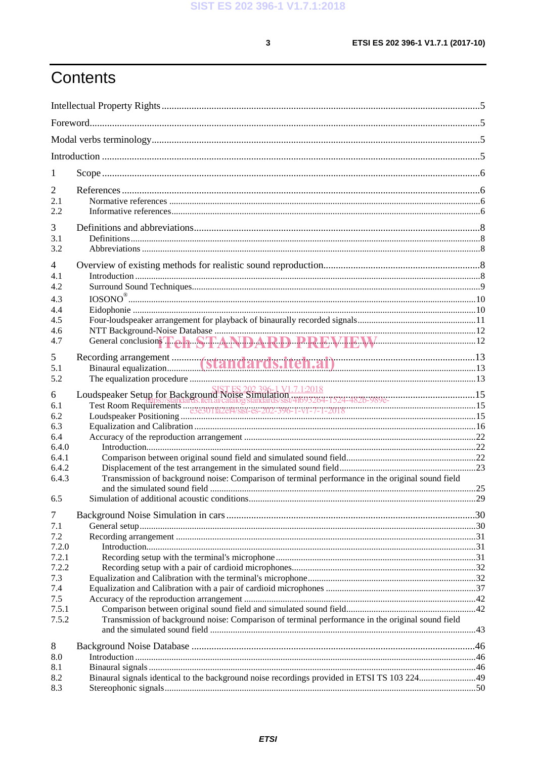$\mathbf{3}$ 

# Contents

| 1                     |                                                                                                                                                                                                |  |  |  |  |
|-----------------------|------------------------------------------------------------------------------------------------------------------------------------------------------------------------------------------------|--|--|--|--|
| 2                     |                                                                                                                                                                                                |  |  |  |  |
| 2.1                   |                                                                                                                                                                                                |  |  |  |  |
| 2.2.                  |                                                                                                                                                                                                |  |  |  |  |
| 3                     |                                                                                                                                                                                                |  |  |  |  |
| 3.1<br>3.2            |                                                                                                                                                                                                |  |  |  |  |
|                       |                                                                                                                                                                                                |  |  |  |  |
| $\overline{4}$<br>4.1 |                                                                                                                                                                                                |  |  |  |  |
| 4.2                   |                                                                                                                                                                                                |  |  |  |  |
| 4.3                   |                                                                                                                                                                                                |  |  |  |  |
| 4.4                   |                                                                                                                                                                                                |  |  |  |  |
| 4.5<br>4.6            |                                                                                                                                                                                                |  |  |  |  |
| 4.7                   |                                                                                                                                                                                                |  |  |  |  |
| 5                     |                                                                                                                                                                                                |  |  |  |  |
| 5.1                   |                                                                                                                                                                                                |  |  |  |  |
| 5.2                   |                                                                                                                                                                                                |  |  |  |  |
| 6                     | Examples and France Control of the Catalogy Standards (1971) 12018<br>Test Room Requirements  2021396-1 V1.7.12018<br>Test Room Requirements  2021396-1-V1-7-1-2018<br>Loudspeaker Positioning |  |  |  |  |
| 6.1                   |                                                                                                                                                                                                |  |  |  |  |
| 6.2<br>6.3            |                                                                                                                                                                                                |  |  |  |  |
| 6.4                   |                                                                                                                                                                                                |  |  |  |  |
| 6.4.0                 |                                                                                                                                                                                                |  |  |  |  |
| 6.4.1<br>6.4.2        |                                                                                                                                                                                                |  |  |  |  |
| 6.4.3                 | Transmission of background noise: Comparison of terminal performance in the original sound field                                                                                               |  |  |  |  |
|                       |                                                                                                                                                                                                |  |  |  |  |
| 6.5                   |                                                                                                                                                                                                |  |  |  |  |
| $\tau$                |                                                                                                                                                                                                |  |  |  |  |
| 7.1<br>7.2            |                                                                                                                                                                                                |  |  |  |  |
| 7.2.0                 |                                                                                                                                                                                                |  |  |  |  |
| 7.2.1                 |                                                                                                                                                                                                |  |  |  |  |
| 7.2.2                 |                                                                                                                                                                                                |  |  |  |  |
| 7.3<br>7.4            |                                                                                                                                                                                                |  |  |  |  |
| 7.5                   |                                                                                                                                                                                                |  |  |  |  |
| 7.5.1                 |                                                                                                                                                                                                |  |  |  |  |
| 7.5.2                 | Transmission of background noise: Comparison of terminal performance in the original sound field                                                                                               |  |  |  |  |
|                       |                                                                                                                                                                                                |  |  |  |  |
| 8<br>8.0              |                                                                                                                                                                                                |  |  |  |  |
| 8.1                   |                                                                                                                                                                                                |  |  |  |  |
| 8.2                   |                                                                                                                                                                                                |  |  |  |  |
| 8.3                   |                                                                                                                                                                                                |  |  |  |  |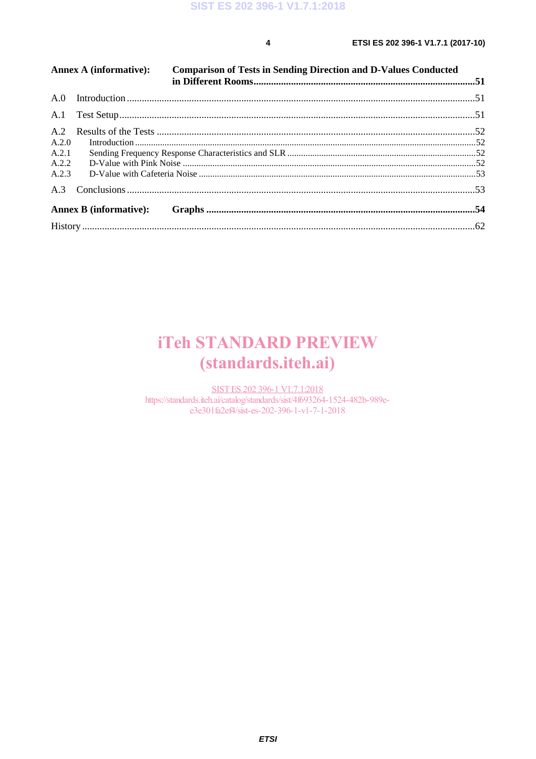$\overline{\mathbf{4}}$ 

| Annex A (informative): |  | <b>Comparison of Tests in Sending Direction and D-Values Conducted</b> |  |
|------------------------|--|------------------------------------------------------------------------|--|
|                        |  |                                                                        |  |
| A.1                    |  |                                                                        |  |
|                        |  |                                                                        |  |
| A.2.0                  |  |                                                                        |  |
| A.2.1                  |  |                                                                        |  |
| A.2.2                  |  |                                                                        |  |
| A.2.3                  |  |                                                                        |  |
|                        |  |                                                                        |  |
|                        |  |                                                                        |  |
|                        |  |                                                                        |  |
|                        |  |                                                                        |  |

# **iTeh STANDARD PREVIEW** (standards.iteh.ai)

SIST ES 202 396-1 V1.7.1:2018 https://standards.iteh.ai/catalog/standards/sist/4f693264-1524-482b-989ee3e301fa2ef4/sist-es-202-396-1-v1-7-1-2018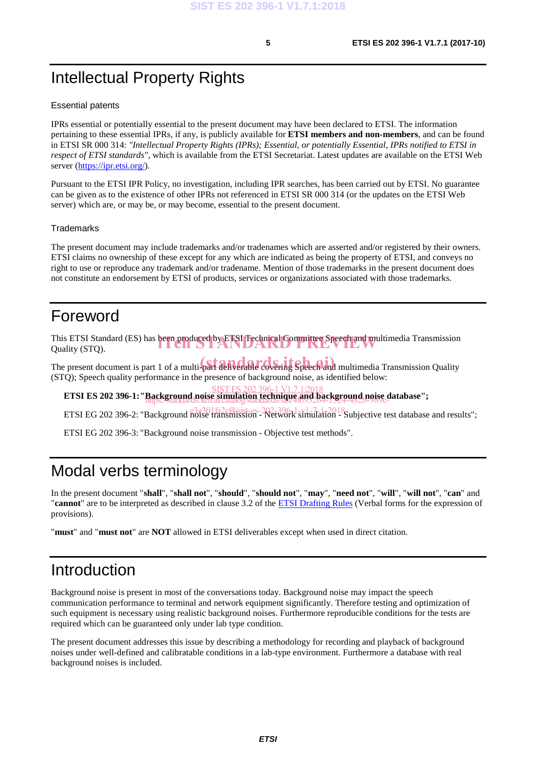# Intellectual Property Rights

#### Essential patents

IPRs essential or potentially essential to the present document may have been declared to ETSI. The information pertaining to these essential IPRs, if any, is publicly available for **ETSI members and non-members**, and can be found in ETSI SR 000 314: *"Intellectual Property Rights (IPRs); Essential, or potentially Essential, IPRs notified to ETSI in respect of ETSI standards"*, which is available from the ETSI Secretariat. Latest updates are available on the ETSI Web server (https://ipr.etsi.org/).

Pursuant to the ETSI IPR Policy, no investigation, including IPR searches, has been carried out by ETSI. No guarantee can be given as to the existence of other IPRs not referenced in ETSI SR 000 314 (or the updates on the ETSI Web server) which are, or may be, or may become, essential to the present document.

#### **Trademarks**

The present document may include trademarks and/or tradenames which are asserted and/or registered by their owners. ETSI claims no ownership of these except for any which are indicated as being the property of ETSI, and conveys no right to use or reproduce any trademark and/or tradename. Mention of those trademarks in the present document does not constitute an endorsement by ETSI of products, services or organizations associated with those trademarks.

# Foreword

This ETSI Standard (ES) has been produced by ETSI Technical Committee Speech and multimedia Transmission Quality (STQ). Quality (STQ).

The present document is part 1 of a multi-part deliverable covering Speech and multimedia Transmission Quality (STQ); Speech quality performance in the presence of background noise, as identified below:

**ETSI ES 202 396-1: "Background noise simulation technique and background noise database";**  SIST ES 202 396-1 V1.7.1:2018 https://standards.iteh.ai/catalog/standards/sist/4f693264-1524-482b-989e-

ETSI EG 202 396-2: "Background  $\frac{3.8301}{100}$  falstinission - Network simulation - Subjective test database and results";

ETSI EG 202 396-3: "Background noise transmission - Objective test methods".

# Modal verbs terminology

In the present document "**shall**", "**shall not**", "**should**", "**should not**", "**may**", "**need not**", "**will**", "**will not**", "**can**" and "**cannot**" are to be interpreted as described in clause 3.2 of the ETSI Drafting Rules (Verbal forms for the expression of provisions).

"**must**" and "**must not**" are **NOT** allowed in ETSI deliverables except when used in direct citation.

# Introduction

Background noise is present in most of the conversations today. Background noise may impact the speech communication performance to terminal and network equipment significantly. Therefore testing and optimization of such equipment is necessary using realistic background noises. Furthermore reproducible conditions for the tests are required which can be guaranteed only under lab type condition.

The present document addresses this issue by describing a methodology for recording and playback of background noises under well-defined and calibratable conditions in a lab-type environment. Furthermore a database with real background noises is included.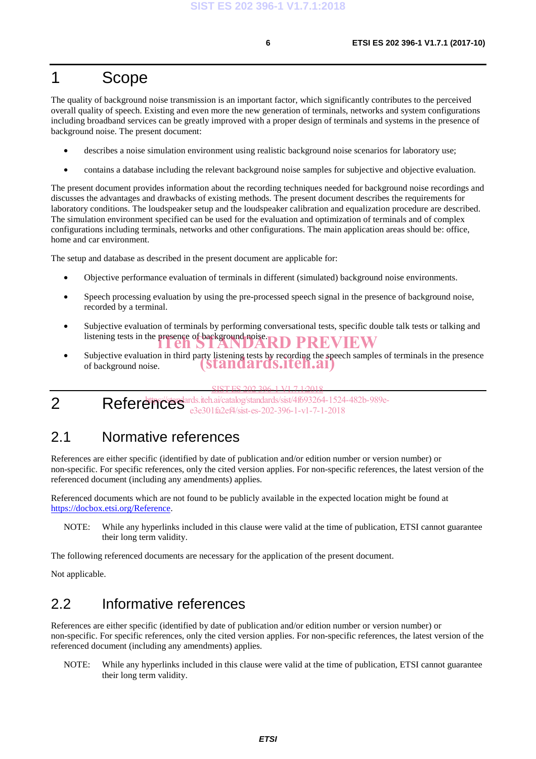# 1 Scope

The quality of background noise transmission is an important factor, which significantly contributes to the perceived overall quality of speech. Existing and even more the new generation of terminals, networks and system configurations including broadband services can be greatly improved with a proper design of terminals and systems in the presence of background noise. The present document:

- describes a noise simulation environment using realistic background noise scenarios for laboratory use;
- contains a database including the relevant background noise samples for subjective and objective evaluation.

The present document provides information about the recording techniques needed for background noise recordings and discusses the advantages and drawbacks of existing methods. The present document describes the requirements for laboratory conditions. The loudspeaker setup and the loudspeaker calibration and equalization procedure are described. The simulation environment specified can be used for the evaluation and optimization of terminals and of complex configurations including terminals, networks and other configurations. The main application areas should be: office, home and car environment.

The setup and database as described in the present document are applicable for:

- Objective performance evaluation of terminals in different (simulated) background noise environments.
- Speech processing evaluation by using the pre-processed speech signal in the presence of background noise, recorded by a terminal.
- Subjective evaluation of terminals by performing conversational tests, specific double talk tests or talking and listening tests in the presence of background noise. RD PREVIEW
- Subjective evaluation in third party listening tests by recording the speech samples of terminals in the presence of background noise. (standards.iteh.ai)

SIST ES 202 396-1 V1.7.1:2018

2 References<sup>a</sup> https://standards.iteh.ai/catalog/standards/sist/4f693264-1524-482b-989ee3e301fa2ef4/sist-es-202-396-1-v1-7-1-2018

### 2.1 Normative references

References are either specific (identified by date of publication and/or edition number or version number) or non-specific. For specific references, only the cited version applies. For non-specific references, the latest version of the referenced document (including any amendments) applies.

Referenced documents which are not found to be publicly available in the expected location might be found at https://docbox.etsi.org/Reference.

NOTE: While any hyperlinks included in this clause were valid at the time of publication, ETSI cannot guarantee their long term validity.

The following referenced documents are necessary for the application of the present document.

Not applicable.

### 2.2 Informative references

References are either specific (identified by date of publication and/or edition number or version number) or non-specific. For specific references, only the cited version applies. For non-specific references, the latest version of the referenced document (including any amendments) applies.

NOTE: While any hyperlinks included in this clause were valid at the time of publication, ETSI cannot guarantee their long term validity.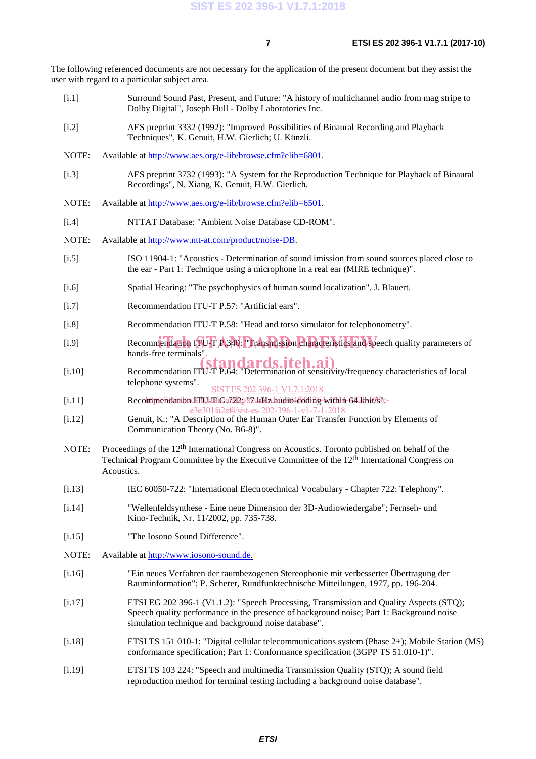The following referenced documents are not necessary for the application of the present document but they assist the user with regard to a particular subject area.

- [i.1] Surround Sound Past, Present, and Future: "A history of multichannel audio from mag stripe to Dolby Digital", Joseph Hull - Dolby Laboratories Inc.
- [i.2] AES preprint 3332 (1992): "Improved Possibilities of Binaural Recording and Playback Techniques", K. Genuit, H.W. Gierlich; U. Künzli.
- NOTE: Available at http://www.aes.org/e-lib/browse.cfm?elib=6801.
- [i.3] AES preprint 3732 (1993): "A System for the Reproduction Technique for Playback of Binaural Recordings", N. Xiang, K. Genuit, H.W. Gierlich.
- NOTE: Available at http://www.aes.org/e-lib/browse.cfm?elib=6501.
- [i.4] NTTAT Database: "Ambient Noise Database CD-ROM".
- NOTE: Available at http://www.ntt-at.com/product/noise-DB.
- [i.5] ISO 11904-1: "Acoustics Determination of sound imission from sound sources placed close to the ear - Part 1: Technique using a microphone in a real ear (MIRE technique)".
- [i.6] Spatial Hearing: "The psychophysics of human sound localization", J. Blauert.
- [i.7] Recommendation ITU-T P.57: "Artificial ears".
- [i.8] Recommendation ITU-T P.58: "Head and torso simulator for telephonometry".
- [i.9] Recommendation  $\text{ITU-T P.340: }$  Transmission characteristics and speech quality parameters of hard free terminals. hands-free terminals".
- France extrimulas<br>
(**standards.iteh.ai**)<br>
Recommendation ITU-T P.64: "Determination of sensitivity/frequency characteristics of local telephone systems". SIST ES 202 396-1 V1.7.1:2018
- [i.11] Recommendation ITU-T G.722g \'7 kHz audio-166 ding within 64 kbit/s"ee3e301fa2ef4/sist-es-202-396-1-v1-7-1-2018
- [i.12] Genuit, K.: "A Description of the Human Outer Ear Transfer Function by Elements of Communication Theory (No. B6-8)".
- NOTE: Proceedings of the 12<sup>th</sup> International Congress on Acoustics. Toronto published on behalf of the Technical Program Committee by the Executive Committee of the 12th International Congress on Acoustics.
- [i.13] IEC 60050-722: "International Electrotechnical Vocabulary Chapter 722: Telephony".
- [i.14] "Wellenfeldsynthese Eine neue Dimension der 3D-Audiowiedergabe"; Fernseh- und Kino-Technik, Nr. 11/2002, pp. 735-738.
- [i.15] "The Iosono Sound Difference".
- NOTE: Available at http://www.iosono-sound.de.
- [i.16] "Ein neues Verfahren der raumbezogenen Stereophonie mit verbesserter Übertragung der Rauminformation"; P. Scherer, Rundfunktechnische Mitteilungen, 1977, pp. 196-204.
- [i.17] ETSI EG 202 396-1 (V1.1.2): "Speech Processing, Transmission and Quality Aspects (STQ); Speech quality performance in the presence of background noise; Part 1: Background noise simulation technique and background noise database".
- [i.18] ETSI TS 151 010-1: "Digital cellular telecommunications system (Phase 2+); Mobile Station (MS) conformance specification; Part 1: Conformance specification (3GPP TS 51.010-1)".
- [i.19] ETSI TS 103 224: "Speech and multimedia Transmission Quality (STQ); A sound field reproduction method for terminal testing including a background noise database".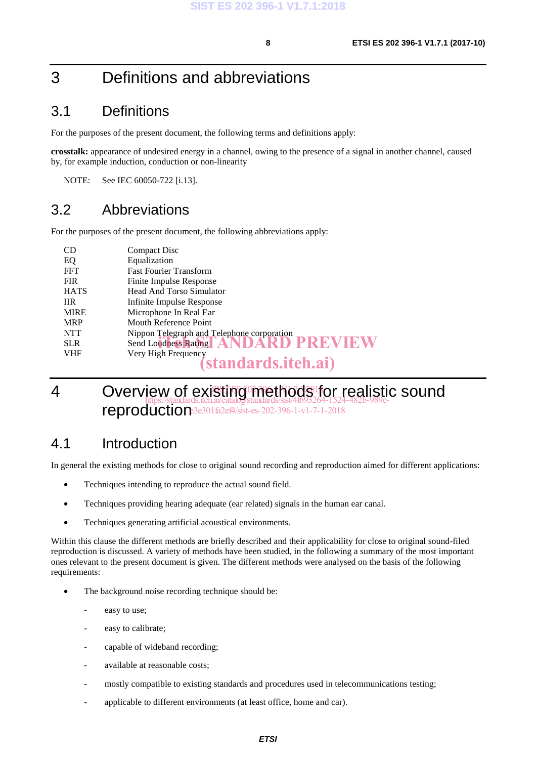# 3 Definitions and abbreviations

### 3.1 Definitions

For the purposes of the present document, the following terms and definitions apply:

**crosstalk:** appearance of undesired energy in a channel, owing to the presence of a signal in another channel, caused by, for example induction, conduction or non-linearity

NOTE: See IEC 60050-722 [i.13].

# 3.2 Abbreviations

For the purposes of the present document, the following abbreviations apply:

| <b>CD</b>   | Compact Disc                               |
|-------------|--------------------------------------------|
| EQ          | Equalization                               |
| <b>FFT</b>  | <b>Fast Fourier Transform</b>              |
| <b>FIR</b>  | Finite Impulse Response                    |
| <b>HATS</b> | Head And Torso Simulator                   |
| <b>IIR</b>  | Infinite Impulse Response                  |
| <b>MIRE</b> | Microphone In Real Ear                     |
| <b>MRP</b>  | Mouth Reference Point                      |
| <b>NTT</b>  | Nippon Telegraph and Telephone corporation |
| <b>SLR</b>  | Send Loudness Rathig   ANDARD PREVIEW      |
| <b>VHF</b>  | Very High Frequency                        |
|             | (standards.iteh.ai)                        |

#### 4 Overview of existing methods for realistic sound reproduction 3e301 fa2ef4/sist-es-202-396-1-v1-7-1-2018 https://standards.iteh.ai/catalog/standards/sist/4f693264-1524-482b-989e-

### 4.1 Introduction

In general the existing methods for close to original sound recording and reproduction aimed for different applications:

- Techniques intending to reproduce the actual sound field.
- Techniques providing hearing adequate (ear related) signals in the human ear canal.
- Techniques generating artificial acoustical environments.

Within this clause the different methods are briefly described and their applicability for close to original sound-filed reproduction is discussed. A variety of methods have been studied, in the following a summary of the most important ones relevant to the present document is given. The different methods were analysed on the basis of the following requirements:

- The background noise recording technique should be:
	- easy to use;
	- easy to calibrate;
	- capable of wideband recording;
	- available at reasonable costs;
	- mostly compatible to existing standards and procedures used in telecommunications testing;
	- applicable to different environments (at least office, home and car).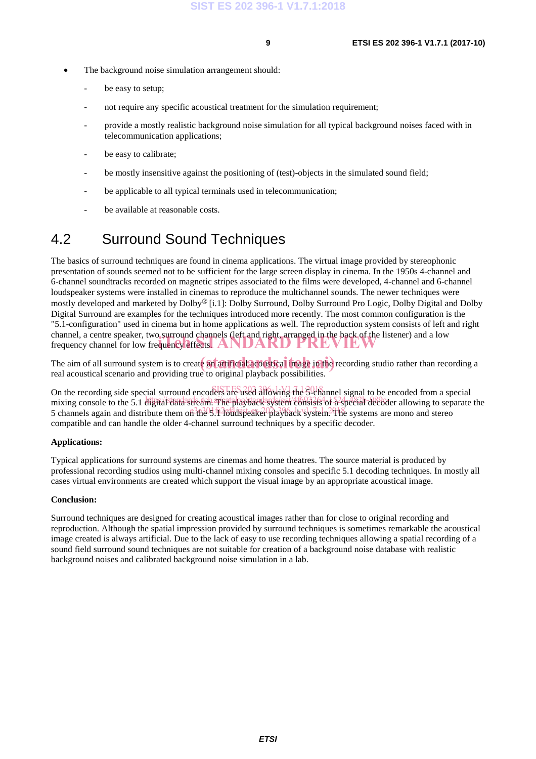- The background noise simulation arrangement should:
	- be easy to setup:
	- not require any specific acoustical treatment for the simulation requirement;
	- provide a mostly realistic background noise simulation for all typical background noises faced with in telecommunication applications;
	- be easy to calibrate;
	- be mostly insensitive against the positioning of (test)-objects in the simulated sound field;
	- be applicable to all typical terminals used in telecommunication;
	- be available at reasonable costs.

# 4.2 Surround Sound Techniques

The basics of surround techniques are found in cinema applications. The virtual image provided by stereophonic presentation of sounds seemed not to be sufficient for the large screen display in cinema. In the 1950s 4-channel and 6-channel soundtracks recorded on magnetic stripes associated to the films were developed, 4-channel and 6-channel loudspeaker systems were installed in cinemas to reproduce the multichannel sounds. The newer techniques were mostly developed and marketed by Dolby® [i.1]: Dolby Surround, Dolby Surround Pro Logic, Dolby Digital and Dolby Digital Surround are examples for the techniques introduced more recently. The most common configuration is the "5.1-configuration" used in cinema but in home applications as well. The reproduction system consists of left and right channel, a centre speaker, two surround channels (left and right, arranged in the back of the listener) and a low channel, a centre speaker, two surround channels dert and right, arranged in the pack of the list frequency channel for low frequency effects.

The aim of all surround system is to create an artificial acoustical these in the recording studio rather than recording a real acoustical scenario and providing true to original playback possibilities.

On the recording side special surround encoders are used allowing the 3<sup>0</sup>channel signal to be encoded from a special mixing console to the 5.1 digital data stream. The playback system consists of a special decoder allowing to separate the 5 channels again and distribute them on the 3.1 loudspeaker playback system? The systems are mono and stereo compatible and can handle the older 4-channel surround techniques by a specific decoder.

#### **Applications:**

Typical applications for surround systems are cinemas and home theatres. The source material is produced by professional recording studios using multi-channel mixing consoles and specific 5.1 decoding techniques. In mostly all cases virtual environments are created which support the visual image by an appropriate acoustical image.

#### **Conclusion:**

Surround techniques are designed for creating acoustical images rather than for close to original recording and reproduction. Although the spatial impression provided by surround techniques is sometimes remarkable the acoustical image created is always artificial. Due to the lack of easy to use recording techniques allowing a spatial recording of a sound field surround sound techniques are not suitable for creation of a background noise database with realistic background noises and calibrated background noise simulation in a lab.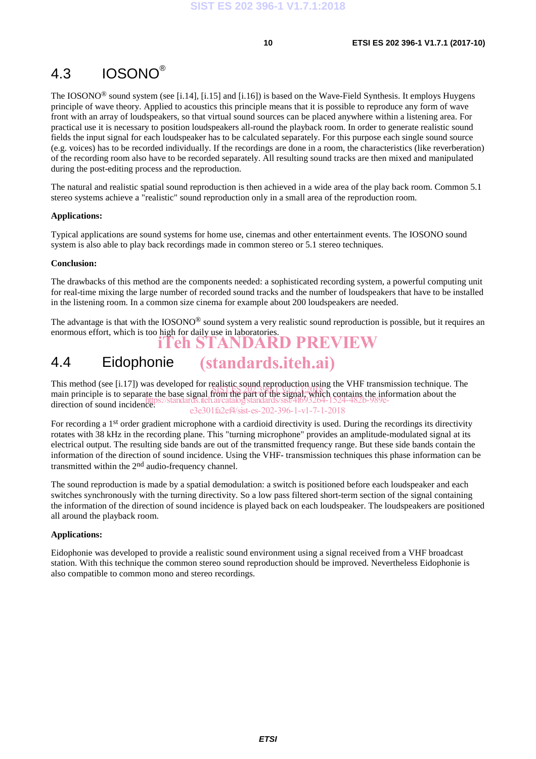# 4.3 IOSONO®

The IOSONO® sound system (see [i.14], [i.15] and [i.16]) is based on the Wave-Field Synthesis. It employs Huygens principle of wave theory. Applied to acoustics this principle means that it is possible to reproduce any form of wave front with an array of loudspeakers, so that virtual sound sources can be placed anywhere within a listening area. For practical use it is necessary to position loudspeakers all-round the playback room. In order to generate realistic sound fields the input signal for each loudspeaker has to be calculated separately. For this purpose each single sound source (e.g. voices) has to be recorded individually. If the recordings are done in a room, the characteristics (like reverberation) of the recording room also have to be recorded separately. All resulting sound tracks are then mixed and manipulated during the post-editing process and the reproduction.

The natural and realistic spatial sound reproduction is then achieved in a wide area of the play back room. Common 5.1 stereo systems achieve a "realistic" sound reproduction only in a small area of the reproduction room.

#### **Applications:**

Typical applications are sound systems for home use, cinemas and other entertainment events. The IOSONO sound system is also able to play back recordings made in common stereo or 5.1 stereo techniques.

#### **Conclusion:**

The drawbacks of this method are the components needed: a sophisticated recording system, a powerful computing unit for real-time mixing the large number of recorded sound tracks and the number of loudspeakers that have to be installed in the listening room. In a common size cinema for example about 200 loudspeakers are needed.

The advantage is that with the  $IOSONO<sup>®</sup>$  sound system a very realistic sound reproduction is possible, but it requires an enormous effort, which is too high for daily use in laboratories. iTeh STANDARD PREVIEW

#### 4.4 Eidophonie (standards.iteh.ai)

This method (see [i.17]) was developed for realistic sound reproduction using the VHF transmission technique. The This incurod (see  $[1.17]$ ) was developed for realistic sound geproduction as  $\frac{1}{2}$  and  $\frac{1}{2}$  and  $\frac{1}{2}$  and  $\frac{1}{2}$  and  $\frac{1}{2}$  and  $\frac{1}{2}$  and  $\frac{1}{2}$  are  $\frac{1}{2}$  and  $\frac{1}{2}$  and  $\frac{1}{2}$  and  $\frac$ direction of sound incidence. https://standards.iteh.ai/catalog/standards/sist/4f693264-1524-482b-989ee3e301fa2ef4/sist-es-202-396-1-v1-7-1-2018

For recording a 1<sup>st</sup> order gradient microphone with a cardioid directivity is used. During the recordings its directivity rotates with 38 kHz in the recording plane. This "turning microphone" provides an amplitude-modulated signal at its electrical output. The resulting side bands are out of the transmitted frequency range. But these side bands contain the information of the direction of sound incidence. Using the VHF- transmission techniques this phase information can be transmitted within the 2<sup>nd</sup> audio-frequency channel.

The sound reproduction is made by a spatial demodulation: a switch is positioned before each loudspeaker and each switches synchronously with the turning directivity. So a low pass filtered short-term section of the signal containing the information of the direction of sound incidence is played back on each loudspeaker. The loudspeakers are positioned all around the playback room.

#### **Applications:**

Eidophonie was developed to provide a realistic sound environment using a signal received from a VHF broadcast station. With this technique the common stereo sound reproduction should be improved. Nevertheless Eidophonie is also compatible to common mono and stereo recordings.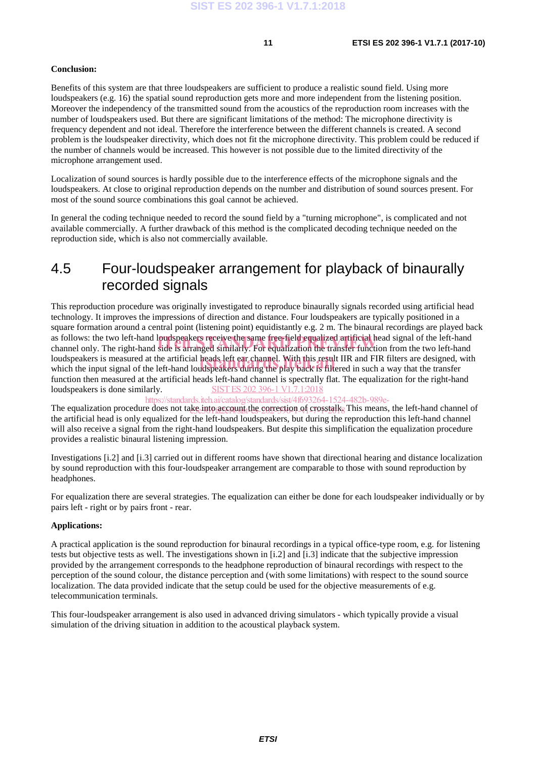#### **Conclusion:**

Benefits of this system are that three loudspeakers are sufficient to produce a realistic sound field. Using more loudspeakers (e.g. 16) the spatial sound reproduction gets more and more independent from the listening position. Moreover the independency of the transmitted sound from the acoustics of the reproduction room increases with the number of loudspeakers used. But there are significant limitations of the method: The microphone directivity is frequency dependent and not ideal. Therefore the interference between the different channels is created. A second problem is the loudspeaker directivity, which does not fit the microphone directivity. This problem could be reduced if the number of channels would be increased. This however is not possible due to the limited directivity of the microphone arrangement used.

Localization of sound sources is hardly possible due to the interference effects of the microphone signals and the loudspeakers. At close to original reproduction depends on the number and distribution of sound sources present. For most of the sound source combinations this goal cannot be achieved.

In general the coding technique needed to record the sound field by a "turning microphone", is complicated and not available commercially. A further drawback of this method is the complicated decoding technique needed on the reproduction side, which is also not commercially available.

### 4.5 Four-loudspeaker arrangement for playback of binaurally recorded signals

This reproduction procedure was originally investigated to reproduce binaurally signals recorded using artificial head technology. It improves the impressions of direction and distance. Four loudspeakers are typically positioned in a square formation around a central point (listening point) equidistantly e.g. 2 m. The binaural recordings are played back as follows: the two left-hand loudspeakers receive the same free-field equalized artificial head signal of the left-hand as follows: the two left-hand loudspeakers receive the same free-field equalized artificial head signal of the left-hand<br>channel only. The right-hand side is arranged similarly. For equalization the transfer function from loudspeakers is measured at the artificial heads left ear channel. With this result IIR and FIR filters are designed, with loudspeakers is measured at the artificial heads left ear channel. With this result IIR and FIR filters are designed, v<br>which the input signal of the left-hand loudspeakers during the play back is filtered in such a way th function then measured at the artificial heads left-hand channel is spectrally flat. The equalization for the right-hand loudspeakers is done similarly. SIST ES 202 396-1 V1.7.1:2018

https://standards.iteh.ai/catalog/standards/sist/4f693264-1524-482b-989e-

The equalization procedure does not take into account the correction of crosstalk. This means, the left-hand channel of the artificial head is only equalized for the left-hand loudspeakers, but during the reproduction this left-hand channel will also receive a signal from the right-hand loudspeakers. But despite this simplification the equalization procedure provides a realistic binaural listening impression.

Investigations [i.2] and [i.3] carried out in different rooms have shown that directional hearing and distance localization by sound reproduction with this four-loudspeaker arrangement are comparable to those with sound reproduction by headphones.

For equalization there are several strategies. The equalization can either be done for each loudspeaker individually or by pairs left - right or by pairs front - rear.

#### **Applications:**

A practical application is the sound reproduction for binaural recordings in a typical office-type room, e.g. for listening tests but objective tests as well. The investigations shown in [i.2] and [i.3] indicate that the subjective impression provided by the arrangement corresponds to the headphone reproduction of binaural recordings with respect to the perception of the sound colour, the distance perception and (with some limitations) with respect to the sound source localization. The data provided indicate that the setup could be used for the objective measurements of e.g. telecommunication terminals.

This four-loudspeaker arrangement is also used in advanced driving simulators - which typically provide a visual simulation of the driving situation in addition to the acoustical playback system.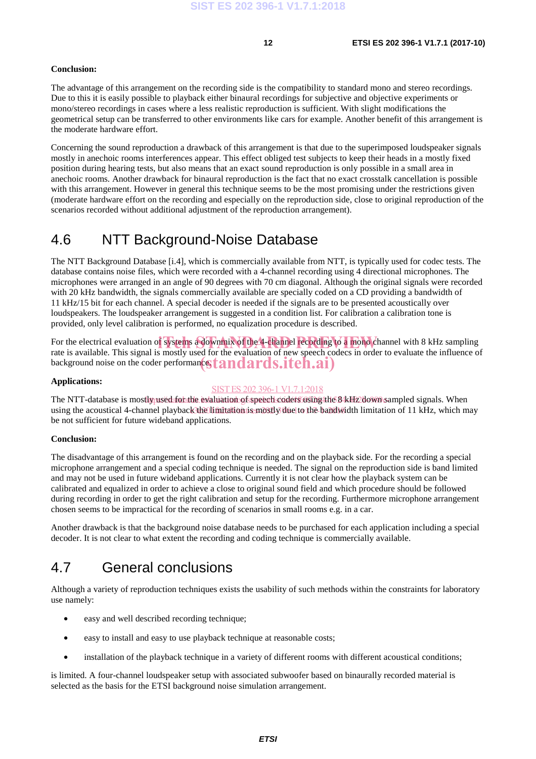#### **Conclusion:**

The advantage of this arrangement on the recording side is the compatibility to standard mono and stereo recordings. Due to this it is easily possible to playback either binaural recordings for subjective and objective experiments or mono/stereo recordings in cases where a less realistic reproduction is sufficient. With slight modifications the geometrical setup can be transferred to other environments like cars for example. Another benefit of this arrangement is the moderate hardware effort.

Concerning the sound reproduction a drawback of this arrangement is that due to the superimposed loudspeaker signals mostly in anechoic rooms interferences appear. This effect obliged test subjects to keep their heads in a mostly fixed position during hearing tests, but also means that an exact sound reproduction is only possible in a small area in anechoic rooms. Another drawback for binaural reproduction is the fact that no exact crosstalk cancellation is possible with this arrangement. However in general this technique seems to be the most promising under the restrictions given (moderate hardware effort on the recording and especially on the reproduction side, close to original reproduction of the scenarios recorded without additional adjustment of the reproduction arrangement).

### 4.6 NTT Background-Noise Database

The NTT Background Database [i.4], which is commercially available from NTT, is typically used for codec tests. The database contains noise files, which were recorded with a 4-channel recording using 4 directional microphones. The microphones were arranged in an angle of 90 degrees with 70 cm diagonal. Although the original signals were recorded with 20 kHz bandwidth, the signals commercially available are specially coded on a CD providing a bandwidth of 11 kHz/15 bit for each channel. A special decoder is needed if the signals are to be presented acoustically over loudspeakers. The loudspeaker arrangement is suggested in a condition list. For calibration a calibration tone is provided, only level calibration is performed, no equalization procedure is described.

For the electrical evaluation of systems a downmix of the 4-channel recording to a mono channel with 8 kHz sampling rate is available. This signal is mostly used for the avaluation of new speech codes in order to evaluate rate is available. This signal is mostly used for the evaluation of new speech codecs in order to evaluate the influence of background noise on the coder performance of **andards.iteh.ai**)

#### **Applications:**

#### SIST ES 202 396-1 V1.7.1:2018

The NTT-database is mostly used for the evaluation of speech coders using the 84Hz down sampled signals. When using the acoustical 4-channel playback the limitation is mostly due to the bandwidth limitation of 11 kHz, which may be not sufficient for future wideband applications.

#### **Conclusion:**

The disadvantage of this arrangement is found on the recording and on the playback side. For the recording a special microphone arrangement and a special coding technique is needed. The signal on the reproduction side is band limited and may not be used in future wideband applications. Currently it is not clear how the playback system can be calibrated and equalized in order to achieve a close to original sound field and which procedure should be followed during recording in order to get the right calibration and setup for the recording. Furthermore microphone arrangement chosen seems to be impractical for the recording of scenarios in small rooms e.g. in a car.

Another drawback is that the background noise database needs to be purchased for each application including a special decoder. It is not clear to what extent the recording and coding technique is commercially available.

### 4.7 General conclusions

Although a variety of reproduction techniques exists the usability of such methods within the constraints for laboratory use namely:

- easy and well described recording technique;
- easy to install and easy to use playback technique at reasonable costs;
- installation of the playback technique in a variety of different rooms with different acoustical conditions;

is limited. A four-channel loudspeaker setup with associated subwoofer based on binaurally recorded material is selected as the basis for the ETSI background noise simulation arrangement.